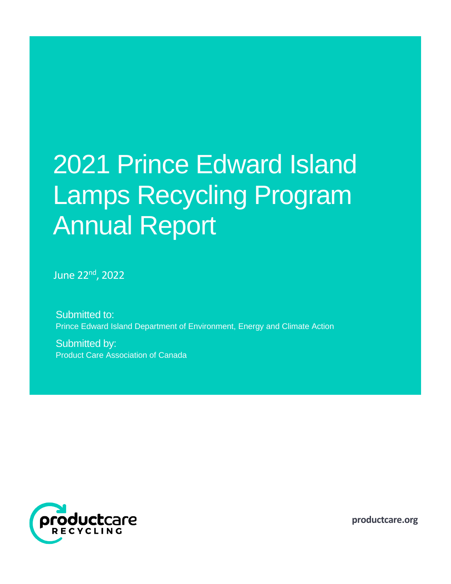# 2021 Prince Edward Island Lamps Recycling Program Annual Report

June 22nd, 2022

Submitted to: Prince Edward Island Department of Environment, Energy and Climate Action

Submitted by: Product Care Association of Canada



**productcare.org**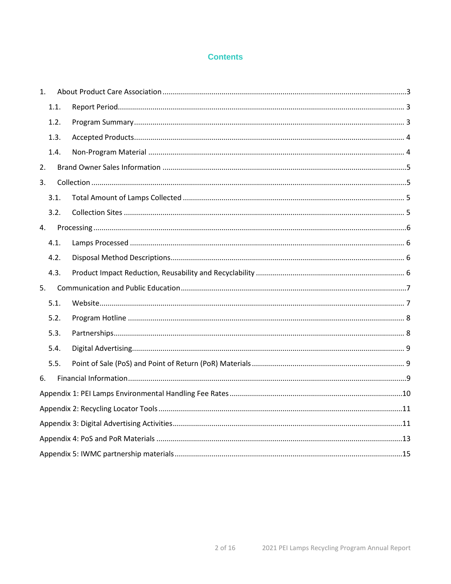# **Contents**

| 1.   |      |  |  |  |  |
|------|------|--|--|--|--|
|      | 1.1. |  |  |  |  |
|      | 1.2. |  |  |  |  |
|      | 1.3. |  |  |  |  |
|      | 1.4. |  |  |  |  |
| 2.   |      |  |  |  |  |
| 3.   |      |  |  |  |  |
| 3.1. |      |  |  |  |  |
|      | 3.2. |  |  |  |  |
| 4.   |      |  |  |  |  |
| 4.1. |      |  |  |  |  |
| 4.2. |      |  |  |  |  |
| 4.3. |      |  |  |  |  |
| 5.   |      |  |  |  |  |
| 5.1. |      |  |  |  |  |
| 5.2. |      |  |  |  |  |
| 5.3. |      |  |  |  |  |
| 5.4. |      |  |  |  |  |
| 5.5. |      |  |  |  |  |
| 6.   |      |  |  |  |  |
|      |      |  |  |  |  |
|      |      |  |  |  |  |
|      |      |  |  |  |  |
|      |      |  |  |  |  |
|      |      |  |  |  |  |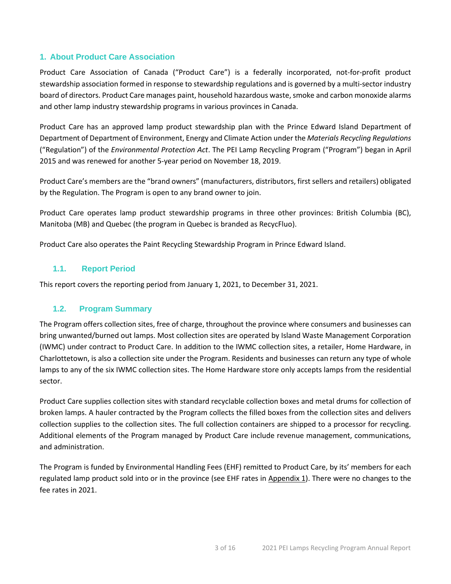# <span id="page-2-0"></span>**1. About Product Care Association**

Product Care Association of Canada ("Product Care") is a federally incorporated, not-for-profit product stewardship association formed in response to stewardship regulations and is governed by a multi-sector industry board of directors. Product Care manages paint, household hazardous waste, smoke and carbon monoxide alarms and other lamp industry stewardship programs in various provinces in Canada.

Product Care has an approved lamp product stewardship plan with the Prince Edward Island Department of Department of Department of Environment, Energy and Climate Action under the *Materials Recycling Regulations* ("Regulation") of the *Environmental Protection Act*. The PEI Lamp Recycling Program ("Program") began in April 2015 and was renewed for another 5-year period on November 18, 2019.

Product Care's members are the "brand owners" (manufacturers, distributors, first sellers and retailers) obligated by the Regulation. The Program is open to any brand owner to join.

Product Care operates lamp product stewardship programs in three other provinces: British Columbia (BC), Manitoba (MB) and Quebec (the program in Quebec is branded as RecycFluo).

Product Care also operates the Paint Recycling Stewardship Program in Prince Edward Island.

# <span id="page-2-1"></span>**1.1. Report Period**

This report covers the reporting period from January 1, 2021, to December 31, 2021.

# <span id="page-2-2"></span>**1.2. Program Summary**

The Program offers collection sites, free of charge, throughout the province where consumers and businesses can bring unwanted/burned out lamps. Most collection sites are operated by Island Waste Management Corporation (IWMC) under contract to Product Care. In addition to the IWMC collection sites, a retailer, Home Hardware, in Charlottetown, is also a collection site under the Program. Residents and businesses can return any type of whole lamps to any of the six IWMC collection sites. The Home Hardware store only accepts lamps from the residential sector.

Product Care supplies collection sites with standard recyclable collection boxes and metal drums for collection of broken lamps. A hauler contracted by the Program collects the filled boxes from the collection sites and delivers collection supplies to the collection sites. The full collection containers are shipped to a processor for recycling. Additional elements of the Program managed by Product Care include revenue management, communications, and administration.

The Program is funded by Environmental Handling Fees (EHF) remitted to Product Care, by its' members for each regulated lamp product sold into or in the province (see EHF rates in Appendix  $1$ ). There were no changes to the fee rates in 2021.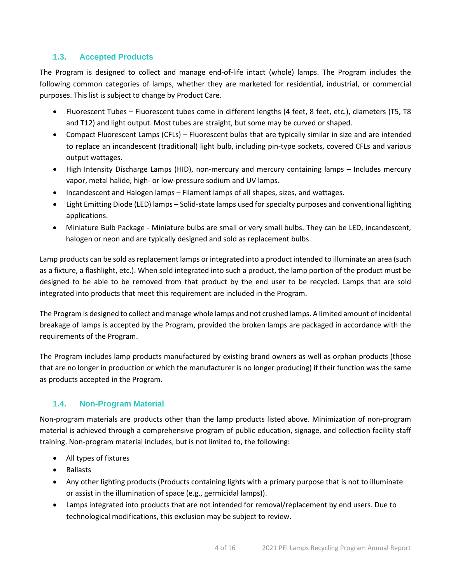# <span id="page-3-0"></span>**1.3. Accepted Products**

The Program is designed to collect and manage end-of-life intact (whole) lamps. The Program includes the following common categories of lamps, whether they are marketed for residential, industrial, or commercial purposes. This list is subject to change by Product Care.

- Fluorescent Tubes Fluorescent tubes come in different lengths (4 feet, 8 feet, etc.), diameters (T5, T8 and T12) and light output. Most tubes are straight, but some may be curved or shaped.
- Compact Fluorescent Lamps (CFLs) Fluorescent bulbs that are typically similar in size and are intended to replace an incandescent (traditional) light bulb, including pin-type sockets, covered CFLs and various output wattages.
- High Intensity Discharge Lamps (HID), non-mercury and mercury containing lamps Includes mercury vapor, metal halide, high- or low-pressure sodium and UV lamps.
- Incandescent and Halogen lamps Filament lamps of all shapes, sizes, and wattages.
- Light Emitting Diode (LED) lamps Solid-state lamps used for specialty purposes and conventional lighting applications.
- Miniature Bulb Package Miniature bulbs are small or very small bulbs. They can be LED, incandescent, halogen or neon and are typically designed and sold as replacement bulbs.

Lamp products can be sold as replacement lamps or integrated into a product intended to illuminate an area (such as a fixture, a flashlight, etc.). When sold integrated into such a product, the lamp portion of the product must be designed to be able to be removed from that product by the end user to be recycled. Lamps that are sold integrated into products that meet this requirement are included in the Program.

The Program is designed to collect and manage whole lamps and not crushed lamps. A limited amount of incidental breakage of lamps is accepted by the Program, provided the broken lamps are packaged in accordance with the requirements of the Program.

The Program includes lamp products manufactured by existing brand owners as well as orphan products (those that are no longer in production or which the manufacturer is no longer producing) if their function was the same as products accepted in the Program.

# <span id="page-3-1"></span>**1.4. Non-Program Material**

Non-program materials are products other than the lamp products listed above. Minimization of non-program material is achieved through a comprehensive program of public education, signage, and collection facility staff training. Non-program material includes, but is not limited to, the following:

- All types of fixtures
- Ballasts
- Any other lighting products (Products containing lights with a primary purpose that is not to illuminate or assist in the illumination of space (e.g., germicidal lamps)).
- Lamps integrated into products that are not intended for removal/replacement by end users. Due to technological modifications, this exclusion may be subject to review.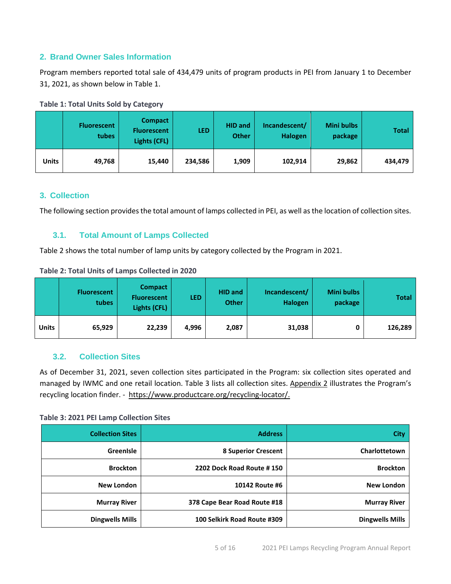# <span id="page-4-0"></span>**2. Brand Owner Sales Information**

Program members reported total sale of 434,479 units of program products in PEI from January 1 to December 31, 2021, as shown below in Table 1.

|       | <b>Fluorescent</b><br>tubes | <b>Compact</b><br><b>Fluorescent</b><br>Lights (CFL) | <b>LED</b> | <b>HID and</b><br><b>Other</b> | Incandescent/<br><b>Halogen</b> | Mini bulbs<br>package | <b>Total</b> |
|-------|-----------------------------|------------------------------------------------------|------------|--------------------------------|---------------------------------|-----------------------|--------------|
| Units | 49,768                      | 15,440                                               | 234,586    | 1,909                          | 102,914                         | 29,862                | 434,479      |

## **Table 1: Total Units Sold by Category**

## <span id="page-4-1"></span>**3. Collection**

The following section provides the total amount of lamps collected in PEI, as well as the location of collection sites.

# <span id="page-4-2"></span>**3.1. Total Amount of Lamps Collected**

Table 2 shows the total number of lamp units by category collected by the Program in 2021.

| Table 2: Total Units of Lamps Collected in 2020 |  |
|-------------------------------------------------|--|
|-------------------------------------------------|--|

|              | <b>Fluorescent</b><br>tubes | <b>Compact</b><br><b>Fluorescent</b><br>Lights (CFL) | <b>LED</b> | <b>HID and</b><br><b>Other</b> | Incandescent/<br><b>Halogen</b> | <b>Mini bulbs</b><br>package | <b>Total</b> |
|--------------|-----------------------------|------------------------------------------------------|------------|--------------------------------|---------------------------------|------------------------------|--------------|
| <b>Units</b> | 65,929                      | 22,239                                               | 4,996      | 2,087                          | 31,038                          |                              | 126,289      |

# <span id="page-4-3"></span>**3.2. Collection Sites**

As of December 31, 2021, seven collection sites participated in the Program: six collection sites operated and managed by IWMC and one retail location. Table 3 lists all collection sites. [Appendix 2](#page-10-0) illustrates the Program's recycling location finder. - [https://www.productcare.org/recycling-locator/.](https://www.productcare.org/recycling-locator/)

## **Table 3: 2021 PEI Lamp Collection Sites**

| <b>Collection Sites</b> | <b>Address</b>               | <b>City</b>            |
|-------------------------|------------------------------|------------------------|
| GreenIsle               | <b>8 Superior Crescent</b>   | Charlottetown          |
| <b>Brockton</b>         | 2202 Dock Road Route #150    | <b>Brockton</b>        |
| <b>New London</b>       | 10142 Route #6               | <b>New London</b>      |
| <b>Murray River</b>     | 378 Cape Bear Road Route #18 | <b>Murray River</b>    |
| <b>Dingwells Mills</b>  | 100 Selkirk Road Route #309  | <b>Dingwells Mills</b> |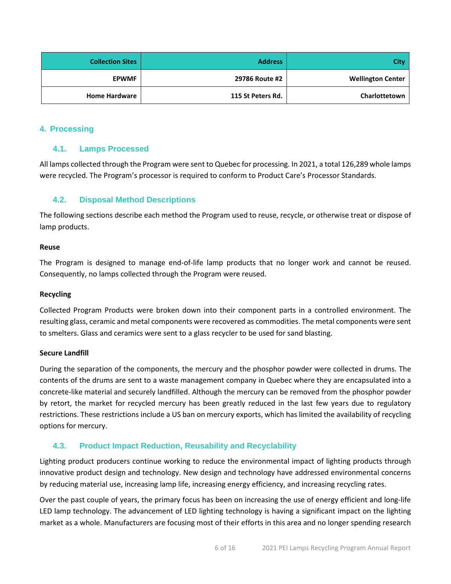| City/                    | <b>Address</b>    | <b>Collection Sites</b> |
|--------------------------|-------------------|-------------------------|
| <b>Wellington Center</b> | 29786 Route #2    | <b>EPWMF</b>            |
| Charlottetown            | 115 St Peters Rd. | <b>Home Hardware</b>    |

## <span id="page-5-1"></span><span id="page-5-0"></span>**4. Processing**

# **4.1. Lamps Processed**

All lamps collected through the Program were sent to Quebec for processing. In 2021, a total 126,289 whole lamps were recycled. The Program's processor is required to conform to Product Care's Processor Standards.

# <span id="page-5-2"></span>**4.2. Disposal Method Descriptions**

The following sections describe each method the Program used to reuse, recycle, or otherwise treat or dispose of lamp products.

## **Reuse**

The Program is designed to manage end-of-life lamp products that no longer work and cannot be reused. Consequently, no lamps collected through the Program were reused.

## **Recycling**

Collected Program Products were broken down into their component parts in a controlled environment. The resulting glass, ceramic and metal components were recovered as commodities. The metal components were sent to smelters. Glass and ceramics were sent to a glass recycler to be used for sand blasting.

#### **Secure Landfill**

During the separation of the components, the mercury and the phosphor powder were collected in drums. The contents of the drums are sent to a waste management company in Quebec where they are encapsulated into a concrete-like material and securely landfilled. Although the mercury can be removed from the phosphor powder by retort, the market for recycled mercury has been greatly reduced in the last few years due to regulatory restrictions. These restrictions include a US ban on mercury exports, which has limited the availability of recycling options for mercury.

# <span id="page-5-3"></span>**4.3. Product Impact Reduction, Reusability and Recyclability**

Lighting product producers continue working to reduce the environmental impact of lighting products through innovative product design and technology. New design and technology have addressed environmental concerns by reducing material use, increasing lamp life, increasing energy efficiency, and increasing recycling rates.

Over the past couple of years, the primary focus has been on increasing the use of energy efficient and long-life LED lamp technology. The advancement of LED lighting technology is having a significant impact on the lighting market as a whole. Manufacturers are focusing most of their efforts in this area and no longer spending research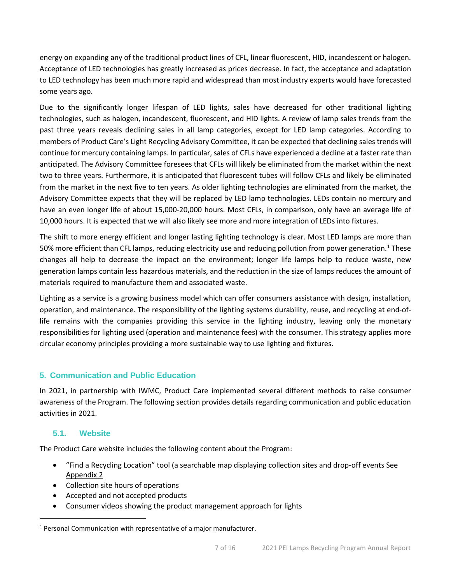energy on expanding any of the traditional product lines of CFL, linear fluorescent, HID, incandescent or halogen. Acceptance of LED technologies has greatly increased as prices decrease. In fact, the acceptance and adaptation to LED technology has been much more rapid and widespread than most industry experts would have forecasted some years ago.

Due to the significantly longer lifespan of LED lights, sales have decreased for other traditional lighting technologies, such as halogen, incandescent, fluorescent, and HID lights. A review of lamp sales trends from the past three years reveals declining sales in all lamp categories, except for LED lamp categories. According to members of Product Care's Light Recycling Advisory Committee, it can be expected that declining sales trends will continue for mercury containing lamps. In particular, sales of CFLs have experienced a decline at a faster rate than anticipated. The Advisory Committee foresees that CFLs will likely be eliminated from the market within the next two to three years. Furthermore, it is anticipated that fluorescent tubes will follow CFLs and likely be eliminated from the market in the next five to ten years. As older lighting technologies are eliminated from the market, the Advisory Committee expects that they will be replaced by LED lamp technologies. LEDs contain no mercury and have an even longer life of about 15,000-20,000 hours. Most CFLs, in comparison, only have an average life of 10,000 hours. It is expected that we will also likely see more and more integration of LEDs into fixtures.

The shift to more energy efficient and longer lasting lighting technology is clear. Most LED lamps are more than 50% more efficient than CFL lamps, reducing electricity use and reducing pollution from power generation.<sup>[1](#page-6-2)</sup> These changes all help to decrease the impact on the environment; longer life lamps help to reduce waste, new generation lamps contain less hazardous materials, and the reduction in the size of lamps reduces the amount of materials required to manufacture them and associated waste.

Lighting as a service is a growing business model which can offer consumers assistance with design, installation, operation, and maintenance. The responsibility of the lighting systems durability, reuse, and recycling at end-oflife remains with the companies providing this service in the lighting industry, leaving only the monetary responsibilities for lighting used (operation and maintenance fees) with the consumer. This strategy applies more circular economy principles providing a more sustainable way to use lighting and fixtures.

# <span id="page-6-0"></span>**5. Communication and Public Education**

In 2021, in partnership with IWMC, Product Care implemented several different methods to raise consumer awareness of the Program. The following section provides details regarding communication and public education activities in 2021.

# <span id="page-6-1"></span>**5.1. Website**

The Product Care website includes the following content about the Program:

- "Find a Recycling Location" tool (a searchable map displaying collection sites and drop-off events See [Appendix 2](#page-10-0)
- Collection site hours of operations
- Accepted and not accepted products
- Consumer videos showing the product management approach for lights

<span id="page-6-2"></span><sup>&</sup>lt;sup>1</sup> Personal Communication with representative of a major manufacturer.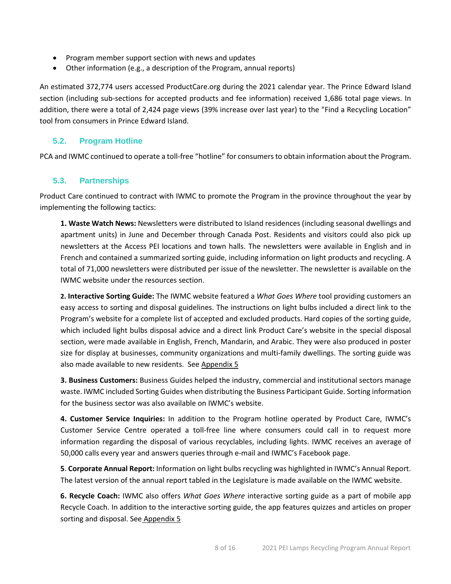- Program member support section with news and updates
- Other information (e.g., a description of the Program, annual reports)

An estimated 372,774 users accessed ProductCare.org during the 2021 calendar year. The Prince Edward Island section (including sub-sections for accepted products and fee information) received 1,686 total page views. In addition, there were a total of 2,424 page views (39% increase over last year) to the "Find a Recycling Location" tool from consumers in Prince Edward Island.

# <span id="page-7-0"></span>**5.2. Program Hotline**

PCA and IWMC continued to operate a toll-free "hotline" for consumersto obtain information about the Program.

# <span id="page-7-1"></span>**5.3. Partnerships**

Product Care continued to contract with IWMC to promote the Program in the province throughout the year by implementing the following tactics:

**1. Waste Watch News:** Newsletters were distributed to Island residences (including seasonal dwellings and apartment units) in June and December through Canada Post. Residents and visitors could also pick up newsletters at the Access PEI locations and town halls. The newsletters were available in English and in French and contained a summarized sorting guide, including information on light products and recycling. A total of 71,000 newsletters were distributed per issue of the newsletter. The newsletter is available on the IWMC website under the resources section.

**2. Interactive Sorting Guide:** The IWMC website featured a *What Goes Where* tool providing customers an easy access to sorting and disposal guidelines. The instructions on light bulbs included a direct link to the Program's website for a complete list of accepted and excluded products. Hard copies of the sorting guide, which included light bulbs disposal advice and a direct link Product Care's website in the special disposal section, were made available in English, French, Mandarin, and Arabic. They were also produced in poster size for display at businesses, community organizations and multi-family dwellings. The sorting guide was also made available to new residents. See Appendix 5

**3. Business Customers:** Business Guides helped the industry, commercial and institutional sectors manage waste. IWMC included Sorting Guides when distributing the Business Participant Guide. Sorting information for the business sector was also available on IWMC's website.

**4. Customer Service Inquiries:** In addition to the Program hotline operated by Product Care, IWMC's Customer Service Centre operated a toll-free line where consumers could call in to request more information regarding the disposal of various recyclables, including lights. IWMC receives an average of 50,000 calls every year and answers queries through e-mail and IWMC's Facebook page.

**5**. **Corporate Annual Report:** Information on light bulbs recycling was highlighted in IWMC's Annual Report. The latest version of the annual report tabled in the Legislature is made available on the IWMC website.

**6. Recycle Coach:** IWMC also offers *What Goes Where* interactive sorting guide as a part of mobile app Recycle Coach. In addition to the interactive sorting guide, the app features quizzes and articles on proper sorting and disposal. See [Appendix 5](#page-14-0)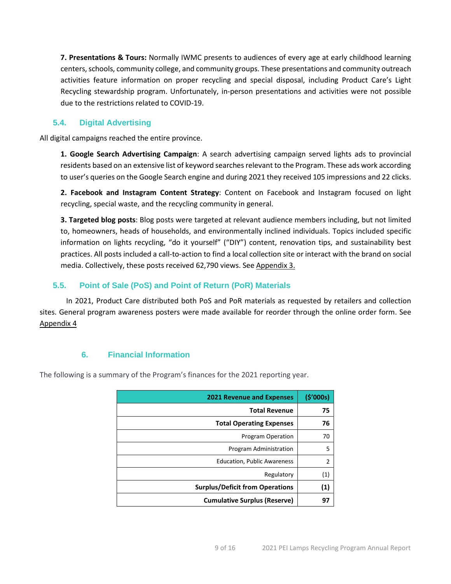**7. Presentations & Tours:** Normally IWMC presents to audiences of every age at early childhood learning centers, schools, community college, and community groups. These presentations and community outreach activities feature information on proper recycling and special disposal, including Product Care's Light Recycling stewardship program. Unfortunately, in-person presentations and activities were not possible due to the restrictions related to COVID-19.

# <span id="page-8-0"></span>**5.4. Digital Advertising**

All digital campaigns reached the entire province.

**1. Google Search Advertising Campaign**: A search advertising campaign served lights ads to provincial residents based on an extensive list of keyword searches relevant to the Program. These ads work according to user's queries on the Google Search engine and during 2021 they received 105 impressions and 22 clicks.

**2. Facebook and Instagram Content Strategy**: Content on Facebook and Instagram focused on light recycling, special waste, and the recycling community in general.

**3. Targeted blog posts**: Blog posts were targeted at relevant audience members including, but not limited to, homeowners, heads of households, and environmentally inclined individuals. Topics included specific information on lights recycling, "do it yourself" ("DIY") content, renovation tips, and sustainability best practices. All posts included a call-to-action to find a local collection site or interact with the brand on social media. Collectively, these posts received 62,790 views. See [Appendix](#page-10-1) 3.

# <span id="page-8-1"></span>**5.5. Point of Sale (PoS) and Point of Return (PoR) Materials**

In 2021, Product Care distributed both PoS and PoR materials as requested by retailers and collection sites. General program awareness posters were made available for reorder through the online order form. See [Appendix 4](#page-12-0)

# **6. Financial Information**

<span id="page-8-2"></span>The following is a summary of the Program's finances for the 2021 reporting year.

| <b>2021 Revenue and Expenses</b>       | (5'000s)       |
|----------------------------------------|----------------|
| <b>Total Revenue</b>                   | 75             |
| <b>Total Operating Expenses</b>        | 76             |
| Program Operation                      | 70             |
| Program Administration                 | 5              |
| <b>Education, Public Awareness</b>     | $\overline{2}$ |
| Regulatory                             | (1)            |
| <b>Surplus/Deficit from Operations</b> | (1)            |
| <b>Cumulative Surplus (Reserve)</b>    | 97             |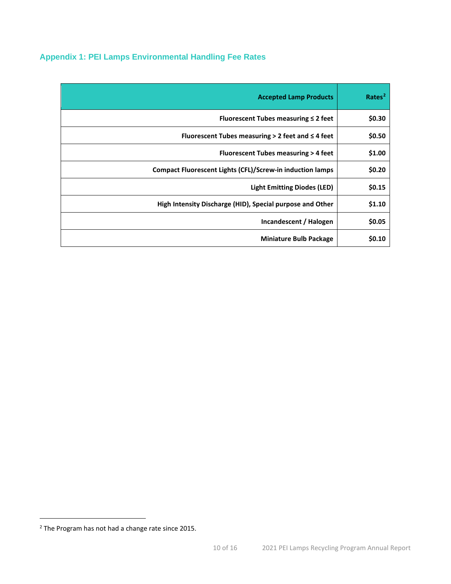# <span id="page-9-0"></span>**Appendix 1: PEI Lamps Environmental Handling Fee Rates**

| <b>Accepted Lamp Products</b>                                    | Rate <sup>2</sup> |
|------------------------------------------------------------------|-------------------|
| Fluorescent Tubes measuring $\leq 2$ feet                        | \$0.30            |
| Fluorescent Tubes measuring $>$ 2 feet and $\leq$ 4 feet         | \$0.50            |
| Fluorescent Tubes measuring > 4 feet                             | \$1.00            |
| <b>Compact Fluorescent Lights (CFL)/Screw-in induction lamps</b> | \$0.20            |
| <b>Light Emitting Diodes (LED)</b>                               | \$0.15            |
| High Intensity Discharge (HID), Special purpose and Other        | \$1.10            |
| Incandescent / Halogen                                           | \$0.05            |
| <b>Miniature Bulb Package</b>                                    | \$0.10            |

<span id="page-9-1"></span><sup>2</sup> The Program has not had a change rate since 2015.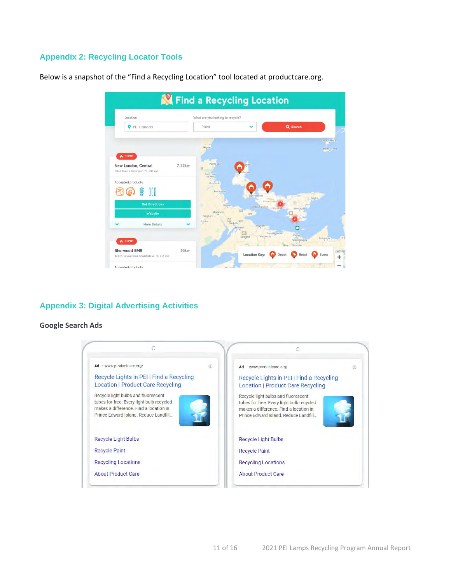# <span id="page-10-0"></span>**Appendix 2: Recycling Locator Tools**

Below is a snapshot of the "Find a Recycling Location" tool located at productcare.org.



# <span id="page-10-1"></span>**Appendix 3: Digital Advertising Activities**

## **Google Search Ads**

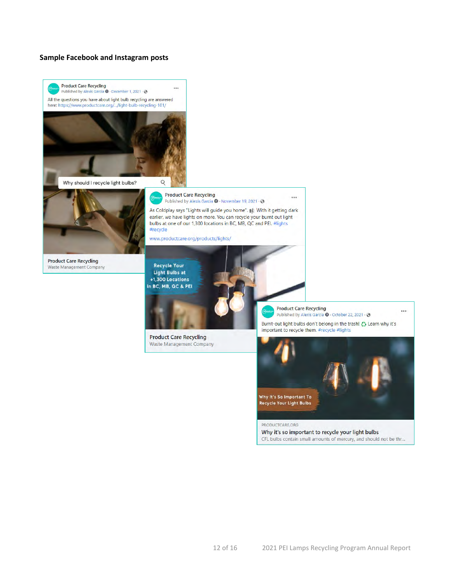## **Sample Facebook and Instagram posts**

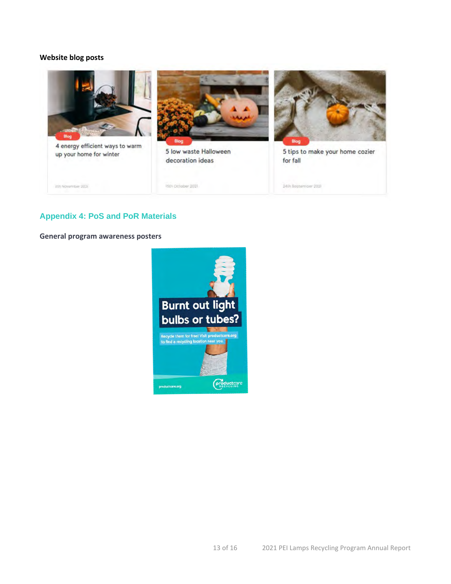## **Website blog posts**



# <span id="page-12-0"></span>**Appendix 4: PoS and PoR Materials**

**General program awareness posters**

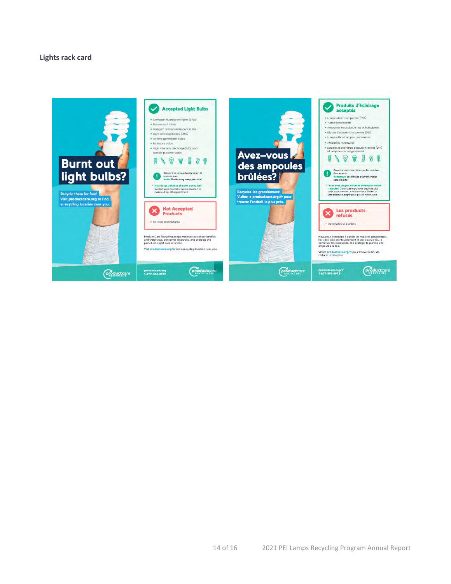## **Lights rack card**

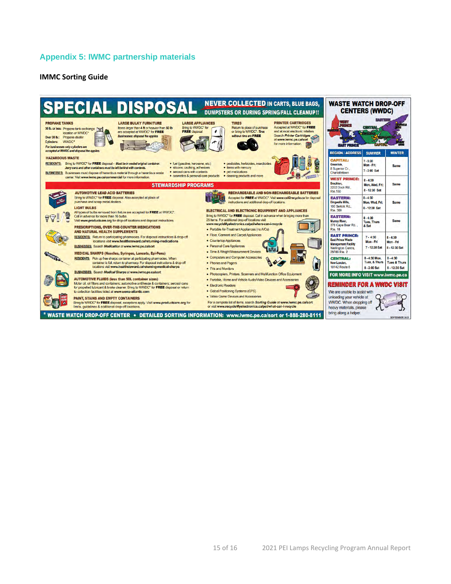# <span id="page-14-0"></span>**Appendix 5: IWMC partnership materials**

## **IMMC Sorting Guide**